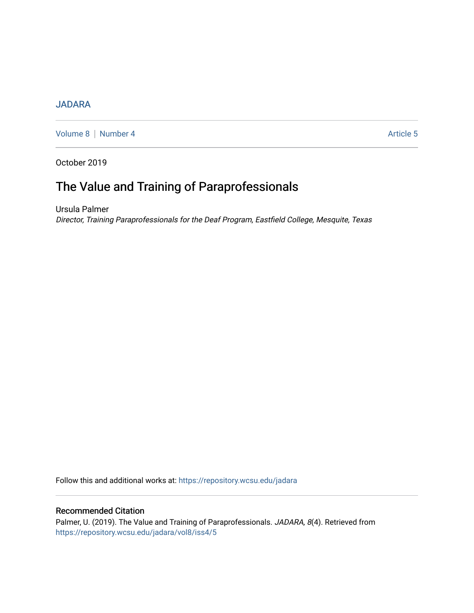## [JADARA](https://repository.wcsu.edu/jadara)

[Volume 8](https://repository.wcsu.edu/jadara/vol8) | [Number 4](https://repository.wcsu.edu/jadara/vol8/iss4) Article 5

October 2019

# The Value and Training of Paraprofessionals

Ursula Palmer Director, Training Paraprofessionals for the Deaf Program, Eastfield College, Mesquite, Texas

Follow this and additional works at: [https://repository.wcsu.edu/jadara](https://repository.wcsu.edu/jadara?utm_source=repository.wcsu.edu%2Fjadara%2Fvol8%2Fiss4%2F5&utm_medium=PDF&utm_campaign=PDFCoverPages)

### Recommended Citation

Palmer, U. (2019). The Value and Training of Paraprofessionals. JADARA, 8(4). Retrieved from [https://repository.wcsu.edu/jadara/vol8/iss4/5](https://repository.wcsu.edu/jadara/vol8/iss4/5?utm_source=repository.wcsu.edu%2Fjadara%2Fvol8%2Fiss4%2F5&utm_medium=PDF&utm_campaign=PDFCoverPages)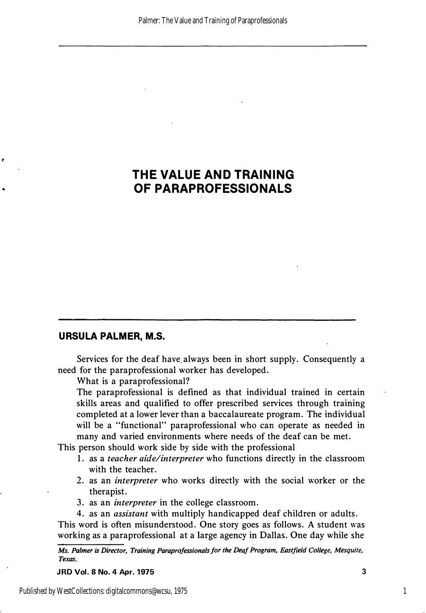## **THE VALUE AND TRAINING OF PARAPROFESSIONALS**

## **URSULA PALMER, M.S.**

e

Services for the deaf have always been in short supply. Consequently a need for the paraprofessional worker has developed.

What is a paraprofessional?

The paraprofessional is defined as that individual trained in certain skills areas and qualified to offer prescribed services through training completed at a lower lever than a baccalaureate program. The individual will be a "functional" paraprofessional who can operate as needed in many and varied environments where needs of the deaf can be met.

This person should work side by side with the professional

- 1. as a *teacher aide/interpreter* who functions directly in the classroom with the teacher.
- 2. as an *interpreter* who works directly with the social worker or the therapist.
- 3. as an *interpreter* in the college classroom.
- 4. as an *assistant* with multiply handicapped deaf children or adults.

This word is often misunderstood. One story goes as follows. A student was working as a paraprofessional at a large agency in Dallas. One day while she

*Ms. Palmer is Director, Training Paraprofessionals for the Deaf Program, Eastjield College, Mesquite, Texas.* 

**JRD Vol. 8 No. 4 Apr. 1975** 3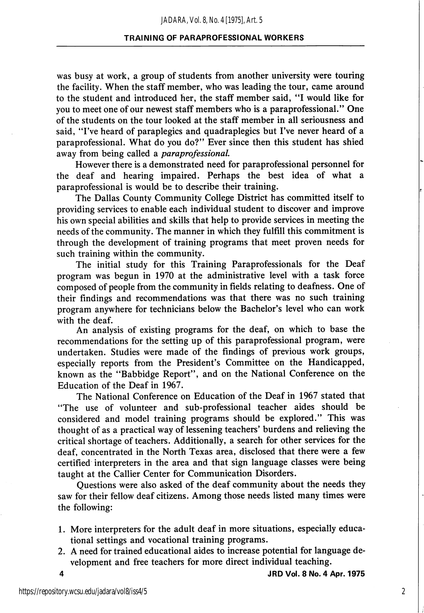was busy at work, a group of students from another university were touring the facility. When the staff member, who was leading the tour, came around to the student and introduced her, the staff member said, "I would like for you to meet one of our newest staff members who is a paraprofessional." One of the students on the tour looked at the staff member in all seriousness and said, "I've heard of paraplegics and quadraplegics but I've never heard of a paraprofessional. What do you do?" Ever since then this student has shied away from being called a paraprofessional.

However there is a demonstrated need for paraprofessional personnel for the deaf and hearing impaired. Perhaps the best idea of what a paraprofessional is would be to describe their training.

The Dallas County Community College District has committed itself to providing services to enable each individual student to discover and improve his own special abilities and skills that help to provide services in meeting the needs of the community. The manner in which they fulfill this commitment is through the development of training programs that meet proven needs for such training within the community.

The initial study for this Training Paraprofessionals for the Deaf program was begun in 1970 at the administrative level with a task force composed of people from the community in fields relating to deafness. One of their findings and recommendations was that there was no such training program anywhere for technicians below the Bachelor's level who can work with the deaf.

An analysis of existing programs for the deaf, on which to base the recommendations for the setting up of this paraprofessional program, were undertaken. Studies were made of the findings of previous work groups, especially reports from the President's Committee on the Handicapped, known as the "Babbidge Report", and on the National Conference on the Education of the Deaf in 1967.

The National Conference on Education of the Deaf in 1967 stated that "The use of volunteer and sub-professional teacher aides should be considered and model training programs should be explored." This was thought of as a practical way of lessening teachers' burdens and relieving the critical shortage of teachers. Additionally, a search for other services for the deaf, concentrated in the North Texas area, disclosed that there were a few certified interpreters in the area and that sign language classes were being taught at the Callier Center for Communication Disorders.

Questions were also asked of the deaf community about the needs they saw for their fellow deaf citizens. Among those needs listed many times were the following:

- 1. More interpreters for the adult deaf in more situations, especially educa tional settings and vocational training programs.
- 2. A need for trained educational aides to increase potential for language de velopment and free teachers for more direct individual teaching.

4 JRD Vol. 8 No. 4 Apr. 1975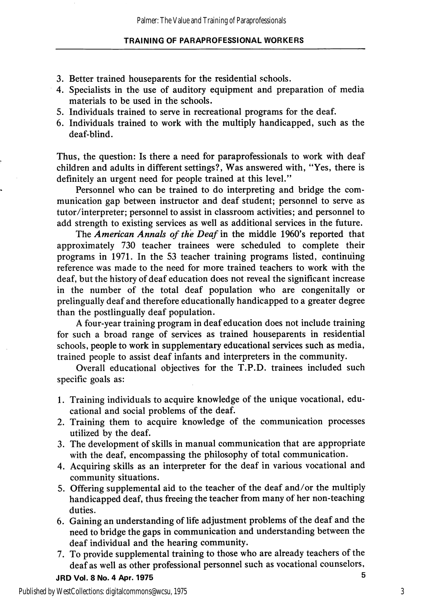- 3. Better trained houseparents for the residential schools.
- 4. Specialists in the use of auditory equipment and preparation of media materials to be used in the schools.
- 5. Individuals trained to serve in recreational programs for the deaf.
- 6. Individuals trained to work with the multiply handicapped, such as the deaf-blind.

Thus, the question: Is there a need for paraprofessionals to work with deaf children and adults in different settings?. Was answered with, "Yes, there is definitely an urgent need for people trained at this level."

Personnel who can be trained to do interpreting and bridge the com munication gap between instructor and deaf student; personnel to serve as tutor/interpreter; personnel to assist in classroom activities; and personnel to add strength to existing services as well as additional services in the future.

The American Annals of the Deaf in the middle 1960's reported that approximately 730 teacher trainees were scheduled to complete their programs in 1971. In the 53 teacher training programs listed, continuing reference was made to the need for more trained teachers to work with the deaf, but the history of deaf education does not reveal the significant increase in the number of the total deaf population who are congenitally or prelingually deaf and therefore educationally handicapped to a greater degree than the postlingually deaf population.

A four-year training program in deaf education does not include training for such a broad range of services as trained houseparents in residential schools, people to work in supplementary educational services such as media, trained people to assist deaf infants and interpreters in the community.

Overall educational objectives for the T.P.D. trainees included such specific goals as:

- 1. Training individuals to acquire knowledge of the unique vocational, edu cational and social problems of the deaf.
- 2. Training them to acquire knowledge of the communication processes utilized by the deaf.
- 3. The development of skills in manual communication that are appropriate with the deaf, encompassing the philosophy of total communication.
- 4. Acquiring skills as an interpreter for the deaf in various vocational and community situations.
- 5. Offering supplemental aid to the teacher of the deaf and/or the multiply handicapped deaf, thus freeing the teacher from many of her non-teaching duties.
- 6. Gaining an understanding of life adjustment problems of the deaf and the need to bridge the gaps in communication and understanding between the deaf individual and the hearing community.
- 7. To provide supplemental training to those who are already teachers of the deaf as well as other professional personnel such as vocational counselors.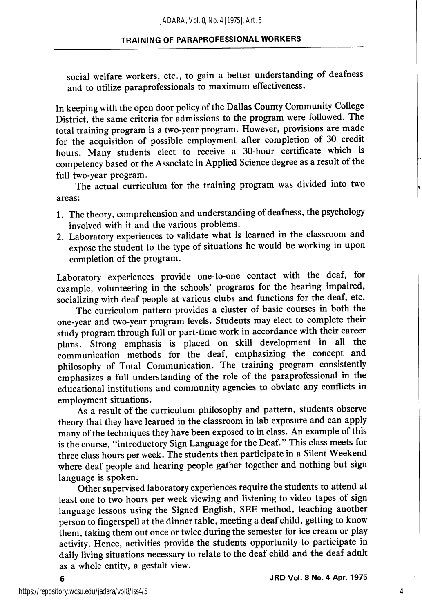social welfare workers, etc., to gain a better understanding of deafness and to utilize paraprofessionals to maximum effectiveness.

In keeping with the open door policy of the Dallas County Community College District, the same criteria for admissions to the program were followed. The total training program is a two-year program. However, provisions are made for the acquisition of possible employment after completion of 30 credit hours. Many students elect to receive a 30-hour certificate which is competency based or the Associate in Applied Science degree as a result of the full two-year program.

The actual curriculum for the training program was divided into two areas:

- 1. The theory, comprehension and understanding of deafness, the psychology involved with it and the various problems.
- 2. Laboratory experiences to validate what is learned in the classroom and expose the student to the type of situations he would be working in upon completion of the program.

Laboratory experiences provide one-to-one contact with the deaf, for example, volunteering in the schools' programs for the hearing impaired, socializing with deaf people at various clubs and functions for the deaf, etc.

The curriculum pattern provides a cluster of basic courses in both the one-year and two-year program levels. Students may elect to complete their study program through full or part-time work in accordance with their career plans. Strong emphasis is placed on skill development in all the communication methods for the deaf, emphasizing the concept and philosophy of Total Communication. The training program consistently emphasizes a full understanding of the role of the paraprofessional in the educational institutions and community agencies to obviate any conflicts in employment situations.

As a result of the curriculum philosophy and pattern, students observe theory that they have learned in the classroom in lab exposure and can apply many of the techniques they have been exposed to in class. An example of this is the course, "introductory Sign Language for the Deaf." This class meets for three class hours per week. The students then participate in a Silent Weekend where deaf people and hearing people gather together and nothing but sign language is spoken.

Other supervised laboratory experiences require the students to attend at least one to two hours per week viewing and listening to video tapes of sign language lessons using the Signed English, SEE method, teaching another person to fmgerspell at the dinner table, meeting a deaf child, getting to know them, taking them out once or twice during the semester for ice cream or play activity. Hence, activities provide the students opportunity to participate in daily living situations necessary to relate to the deaf child and the deaf adult as a whole entity, a gestalt view.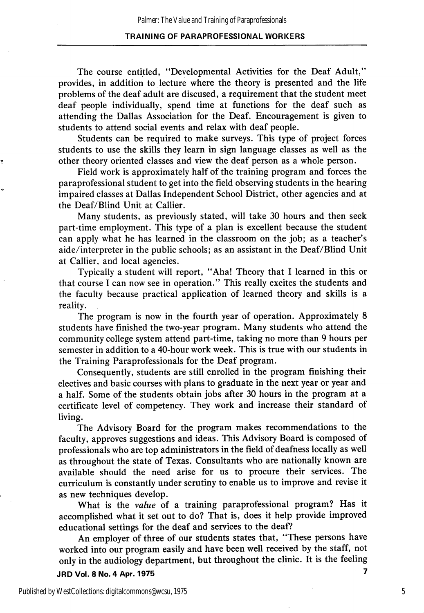The course entitled, "Developmental Activities for the Deaf Adult," provides, in addition to lecture where the theory is presented and the life problems of the deaf adult are discused, a requirement that the student meet deaf people individually, spend time at functions for the deaf such as attending the Dallas Association for the Deaf. Encouragement is given to students to attend social events and relax with deaf people.

Students can be required to make surveys. This type of project forces students to use the skills they learn in sign language classes as well as the other theory oriented classes and view the deaf person as a whole person.

Field work is approximately half of the training program and forces the paraprofessional student to get into the field observing students in the hearing impaired classes at Dallas Independent School District, other agencies and at the Deaf/Blind Unit at Callier.

Many students, as previously stated, will take 30 hours and then seek part-time employment. This type of a plan is excellent because the student can apply what he has learned in the classroom on the job; as a teacher's aide/interpreter in the public schools; as an assistant in the Deaf/Blind Unit at Callier, and local agencies.

Typically a student will report, "Aha! Theory that I learned in this or that course I can now see in operation." This really excites the students and the faculty because practical application of learned theory and skills is a reality.

The program is now in the fourth year of operation. Approximately 8 students have finished the two-year program. Many students who attend the community college system attend part-time, taking no more than 9 hours per semester in addition to a 40-hour work week. This is true with our students in the Training Paraprofessionals for the Deaf program.

Consequently, students are still enrolled in the program finishing their electives and basic courses with plans to graduate in the next year or year and a half. Some of the students obtain jobs after 30 hours in the program at a certificate level of competency. They work and increase their standard of living.

The Advisory Board for the program makes recommendations to the faculty, approves suggestions and ideas. This Advisory Board is composed of professionals who are top administrators in the field of deafness locally as well as throughout the state of Texas. Consultants who are nationally known are available should the need arise for us to procure their services. The curriculum is constantly under scrutiny to enable us to improve and revise it as new techniques develop.

What is the value of a training paraprofessional program? Has it accomplished what it set out to do? That is, does it help provide improved educational settings for the deaf and services to the deaf?

An employer of three of our students states that, "These persons have worked into our program easily and have been well received by the staff, not only in the audiology department, but throughout the clinic. It is the feeling JRD Vol. 8 No. 4 Apr. 1975 7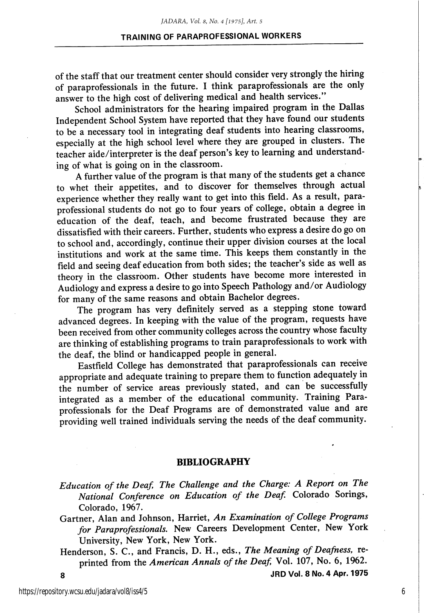of the staff that our treatment center should consider very strongly the hiring of paraprofessionals in the future. I think paraprofessionals are the only answer to the high cost of delivering medical and health services."

School administrators for the hearing impaired program in the Dallas Independent School System have reported that they have found our students to be a necessary tool in integrating deaf students into hearing classrooms, especially at the high school level where they are grouped in clusters. The teacher aide/interpreter is the deaf person's key to learning and understand ing of what is going on in the classroom.

A further value of the program is that many of the students get a chance to whet their appetites, and to discover for themselves through actual experience whether they really want to get into this field. As a result, paraprofessional students do not go to four years of college, obtain a degree in education of the deaf, teach, and become frustrated because they are dissatisfied with their careers. Further, students who express a desire do go on to school and, accordingly, continue their upper division courses at the local institutions and work at the same time. This keeps them constantly in the field and seeing deaf education from both sides; the teacher's side as well as theory in the classroom. Other students have become more interested in Audiology and express a desire to go into Speech Pathology and/or Audiology for many of the same reasons and obtain Bachelor degrees.

The program has very definitely served as a stepping stone toward advanced degrees. In keeping with the value of the program, requests have been received from other community colleges across the country whose faculty are thinking of establishing programs to train paraprofessionals to work with the deaf, the blind or handicapped people in general.

Eastfield College has demonstrated that paraprofessionals can receive appropriate and adequate training to prepare them to function adequately in the number of service areas previously stated, and can be successfully integrated as a member of the educational community. Training Para professionals for the Deaf Programs are of demonstrated value and are providing well trained individuals serving the needs of the deaf community.

#### BIBLIOGRAPHY

Education of the Deaf, The Challenge and the Charge: A Report on The National Conference on Education of the Deaf. Colorado Sorings, Colorado, 1967.

Gartner, Alan and Johnson, Harriet, An Examination of College Programs for Paraprofessionals. New Careers Development Center, New York University, New York, New York.

Henderson, S. C., and Francis, D. H., eds., The Meaning of Deafness, reprinted from the American Annals of the Deaf, Vol. 107, No. 6, 1962. 8 JRDVol. 8N0.4 Apr. 1975